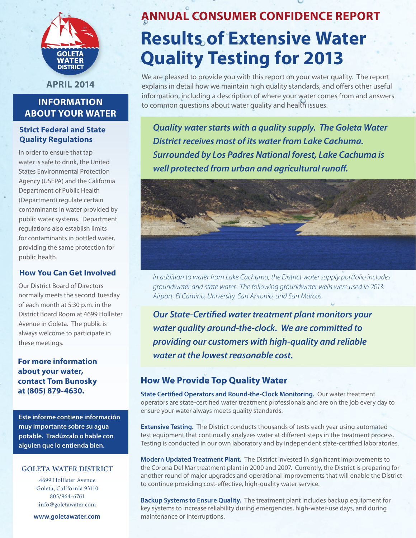

**April 2014**

# **Information About Your Water**

## **Strict Federal and State Quality Regulations**

In order to ensure that tap water is safe to drink, the United States Environmental Protection Agency (USEPA) and the California Department of Public Health (Department) regulate certain contaminants in water provided by public water systems. Department regulations also establish limits for contaminants in bottled water, providing the same protection for public health.

## **How You Can Get Involved**

Our District Board of Directors normally meets the second Tuesday of each month at 5:30 p.m. in the District Board Room at 4699 Hollister Avenue in Goleta. The public is always welcome to participate in these meetings.

## **For more information about your water, contact Tom Bunosky at (805) 879-4630.**

**Este informe contiene información muy importante sobre su agua potable. Tradúzcalo o hable con alguien que lo entienda bien.**

#### **Goleta water district**

4699 Hollister Avenue Goleta, California 93110 805/964-6761 info@goletawater.com

**www.goletawater.com**

# **ANNUAL Consumer Confidence Report Results of Extensive Water Quality Testing for 2013**

We are pleased to provide you with this report on your water quality. The report explains in detail how we maintain high quality standards, and offers other useful information, including a description of where your water comes from and answers to common questions about water quality and health issues.

*Quality water starts with a quality supply. The Goleta Water District receives most of its water from Lake Cachuma. Surrounded by Los Padres National forest, Lake Cachuma is well protected from urban and agricultural runoff.*



*In addition to water from Lake Cachuma, the District water supply portfolio includes groundwater and state water. The following groundwater wells were used in 2013: Airport, El Camino, University, San Antonio, and San Marcos.*

*Our State-Certified water treatment plant monitors your water quality around-the-clock. We are committed to providing our customers with high-quality and reliable water at the lowest reasonable cost.*

# **How We Provide Top Quality Water**

**State Certified Operators and Round-the-Clock Monitoring.** Our water treatment operators are state-certified water treatment professionals and are on the job every day to ensure your water always meets quality standards.

**Extensive Testing.** The District conducts thousands of tests each year using automated test equipment that continually analyzes water at different steps in the treatment process. Testing is conducted in our own laboratory and by independent state-certified laboratories.

**Modern Updated Treatment Plant.** The District invested in significant improvements to the Corona Del Mar treatment plant in 2000 and 2007. Currently, the District is preparing for another round of major upgrades and operational improvements that will enable the District to continue providing cost-effective, high-quality water service.

**Backup Systems to Ensure Quality.** The treatment plant includes backup equipment for key systems to increase reliability during emergencies, high-water-use days, and during maintenance or interruptions.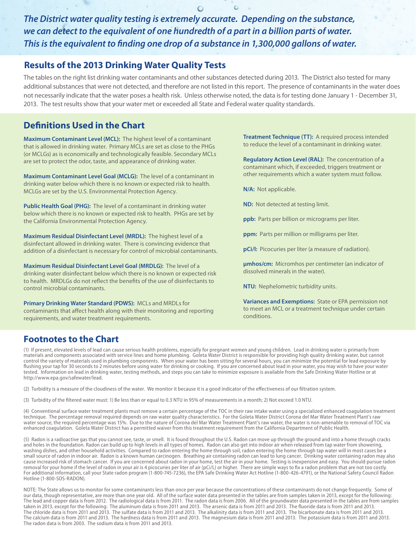*The District water quality testing is extremely accurate. Depending on the substance, we can detect to the equivalent of one hundredth of a part in a billion parts of water. This is the equivalent to finding one drop of a substance in 1,300,000 gallons of water.*

## **Results of the 2013 Drinking Water Quality Tests**

The tables on the right list drinking water contaminants and other substances detected during 2013. The District also tested for many additional substances that were not detected, and therefore are not listed in this report. The presence of contaminants in the water does not necessarily indicate that the water poses a health risk. Unless otherwise noted, the data is for testing done January 1 - December 31, 2013. The test results show that your water met or exceeded all State and Federal water quality standards.

# **Definitions Used in the Chart**

**Maximum Contaminant Level (MCL):** The highest level of a contaminant that is allowed in drinking water. Primary MCLs are set as close to the PHGs (or MCLGs) as is economically and technologically feasible. Secondary MCLs are set to protect the odor, taste, and appearance of drinking water.

**Maximum Contaminant Level Goal (MCLG):** The level of a contaminant in drinking water below which there is no known or expected risk to health. MCLGs are set by the U.S. Environmental Protection Agency.

**Public Health Goal (PHG):** The level of a contaminant in drinking water below which there is no known or expected risk to health. PHGs are set by the California Environmental Protection Agency.

**Maximum Residual Disinfectant Level (MRDL):** The highest level of a disinfectant allowed in drinking water. There is convincing evidence that addition of a disinfectant is necessary for control of microbial contaminants.

**Maximum Residual Disinfectant Level Goal (MRDLG):** The level of a drinking water disinfectant below which there is no known or expected risk to health. MRDLGs do not reflect the benefits of the use of disinfectants to control microbial contaminants.

**Primary Drinking Water Standard (PDWS):** MCLs and MRDLs for contaminants that affect health along with their monitoring and reporting requirements, and water treatment requirements.

**Treatment Technique (TT):** A required process intended to reduce the level of a contaminant in drinking water.

**Regulatory Action Level (RAL):** The concentration of a contaminant which, if exceeded, triggers treatment or other requirements which a water system must follow.

**N/A:** Not applicable.

**ND:** Not detected at testing limit.

**ppb:** Parts per billion or micrograms per liter.

**ppm:** Parts per million or milligrams per liter.

**pCi/l:** Picocuries per liter (a measure of radiation).

**μmhos/cm:** Micromhos per centimeter (an indicator of dissolved minerals in the water).

**NTU:** Nephelometric turbidity units.

**Variances and Exemptions:** State or EPA permission not to meet an MCL or a treatment technique under certain conditions.

# **Footnotes to the Chart**

(1) If present, elevated levels of lead can cause serious health problems, especially for pregnant women and young children. Lead in drinking water is primarily from materials and components associated with service lines and home plumbing. Goleta Water District is responsible for providing high quality drinking water, but cannot control the variety of materials used in plumbing components. When your water has been sitting for several hours, you can minimize the potential for lead exposure by flushing your tap for 30 seconds to 2 minutes before using water for drinking or cooking. If you are concerned about lead in your water, you may wish to have your water tested. Information on lead in drinking water, testing methods, and steps you can take to minimize exposure is available from the Safe Drinking Water Hotline or at http://www.epa.gov/safewater/lead.

(2) Turbidity is a measure of the cloudiness of the water. We monitor it because it is a good indicator of the effectiveness of our filtration system.

(3) Turbidity of the filtered water must: 1) Be less than or equal to 0.3 NTU in 95% of measurements in a month; 2) Not exceed 1.0 NTU.

(4) Conventional surface water treatment plants must remove a certain percentage of the TOC in their raw intake water using a specialized enhanced coagulation treatment technique. The percentage removal required depends on raw water quality characteristics. For the Goleta Water District Corona del Mar Water Treatment Plant's raw water source, the required percentage was 15%. Due to the nature of Corona del Mar Water Treatment Plant's raw water, the water is non-amenable to removal of TOC via enhanced coagulation. Goleta Water District has a permitted waiver from this treatment requirement from the California Department of Public Health.

(5) Radon is a radioactive gas that you cannot see, taste, or smell. It is found throughout the U.S. Radon can move up through the ground and into a home through cracks and holes in the foundation. Radon can build up to high levels in all types of homes. Radon can also get into indoor air when released from tap water from showering, washing dishes, and other household activities. Compared to radon entering the home through soil, radon entering the home through tap water will in most cases be a small source of radon in indoor air. Radon is a known human carcinogen. Breathing air containing radon can lead to lung cancer. Drinking water containing radon may also cause increased risk of stomach cancer. If you are concerned about radon in your home, test the air in your home. Testing is inexpensive and easy. You should pursue radon removal for your home if the level of radon in your air is 4 picocuries per liter of air (pCi/L) or higher. There are simple ways to fix a radon problem that are not too costly. For additional information, call your State radon program (1-800-745-7236), the EPA Safe Drinking Water Act Hotline (1-800-426-4791), or the National Safety Council Radon Hotline (1-800-SOS-RADON).

NOTE: The State allows us to monitor for some contaminants less than once per year because the concentrations of these contaminants do not change frequently. Some of our data, though representative, are more than one year old. All of the surface water data presented in the tables are from samples taken in 2013, except for the following: The lead and copper data is from 2012. The radiological data is from 2011. The radon data is from 2006. All of the groundwater data presented in the tables are from samples taken in 2013, except for the following: The aluminum data is from 2011 and 2013. The arsenic data is from 2011 and 2013. The fluoride data is from 2011 and 2013. The chloride data is from 2011 and 2013. The sulfate data is from 2011 and 2013. The alkalinity data is from 2011 and 2013. The bicarbonate data is from 2011 and 2013. The calcium data is from 2011 and 2013. The hardness data is from 2011 and 2013. The magnesium data is from 2011 and 2013. The potassium data is from 2011 and 2013. The radon data is from 2003. The sodium data is from 2011 and 2013.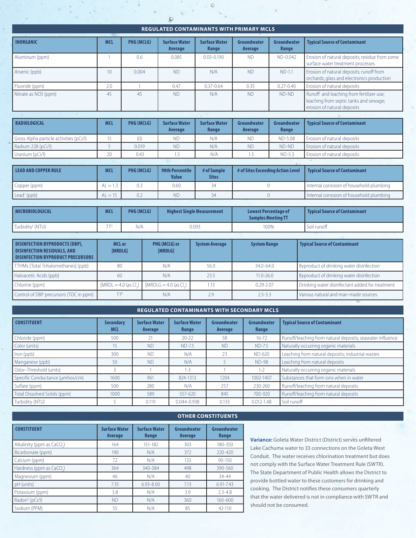| <b>REGULATED CONTAMINANTS WITH PRIMARY MCLS</b> |            |            |                                        |                               |                                   |                      |                                                                                                                   |
|-------------------------------------------------|------------|------------|----------------------------------------|-------------------------------|-----------------------------------|----------------------|-------------------------------------------------------------------------------------------------------------------|
| <b>INORGANIC</b>                                | <b>MCL</b> | PHG (MCLG) | <b>Surface Water</b><br>Average        | <b>Surface Water</b><br>Range | Groundwater<br>Average            | Groundwater<br>Range | <b>Typical Source of Contaminant</b>                                                                              |
| Aluminum (ppm)                                  |            | 0.6        | 0.085                                  | $0.03 - 0.190$                | <b>ND</b>                         | ND-0.042             | Erosion of natural deposits; residue from some<br>surface water treatment processes                               |
| Arsenic (ppb)                                   | 10         | 0.004      | <b>ND</b>                              | N/A                           | <b>ND</b><br>$ND-1.1$             |                      | Erosion of natural deposits; runoff from<br>orchards; glass and electronics production                            |
| Fluoride (ppm)                                  | 2.0        |            | 0.47                                   | $0.37 - 0.64$                 | 0.35                              | $0.27 - 0.40$        | Erosion of natural deposits                                                                                       |
| Nitrate as NO3 (ppm)                            | 45         | 45         | <b>ND</b>                              | N/A                           | <b>ND</b>                         | ND-ND                | Runoff and leaching from fertilizer use;<br>leaching from septic tanks and sewage;<br>erosion of natural deposits |
|                                                 |            |            |                                        |                               |                                   |                      |                                                                                                                   |
|                                                 |            |            |                                        |                               |                                   |                      |                                                                                                                   |
| <b>RADIOLOGICAL</b>                             | <b>MCL</b> | PHG (MCLG) | <b>Surface Water</b><br>Average        | <b>Surface Water</b><br>Range | Groundwater<br>Average            | Groundwater<br>Range | <b>Typical Source of Contaminant</b>                                                                              |
| Gross Alpha particle activities (pCi/l)         | 15         | (0)        | <b>ND</b>                              | N/A                           | <b>ND</b>                         | <b>ND-5.08</b>       | Erosion of natural deposits                                                                                       |
| Radium 228 (pCi/l)                              | 5          | 0.019      | <b>ND</b>                              | N/A                           | <b>ND</b>                         | ND-ND                | Erosion of natural deposits                                                                                       |
| Uranium (pCi/l)                                 | 20         | 0.43       | 1.5                                    | N/A                           | 1.5                               | $ND-5.3$             | Erosion of natural deposits                                                                                       |
|                                                 |            |            |                                        |                               |                                   |                      |                                                                                                                   |
| <b>LEAD AND COPPER RULE</b>                     | <b>MCL</b> | PHG (MCLG) | <b>90th Percentile</b><br><b>Value</b> | # of Sample<br><b>Sites</b>   | # of Sites Exceeding Action Level |                      | <b>Typical Source of Contaminant</b>                                                                              |
| Copper (ppm)                                    | $AL = 1.3$ | 0.3        | 0.60                                   | 34                            |                                   | $\Omega$             | Internal corrosion of household plumbing                                                                          |

| <b>MICROBIOLOGICAL</b>               | <b>MC</b>      | <b>PHG (MCLG)</b> | <b>Highest Single Measurement</b> | <b>Lowest Percentage of</b><br><b>Samples Meeting TT</b> | <b>Typical Source of Contaminant</b> |
|--------------------------------------|----------------|-------------------|-----------------------------------|----------------------------------------------------------|--------------------------------------|
| $\vert$ Turbidity <sup>2</sup> (NTU) | <b>Service</b> | N/A               | 0.093                             | 100%                                                     | Soil runoff                          |

| <b>DISINFECTION BYPRODUCTS (DBP),</b><br><b>DISINFECTION RESIDUALS, AND</b><br><b>DISINFECTION BYPRODUCT PRECURSORS</b> | MCL or<br><b>IMRDLG1</b> | PHG (MCLG) or<br>[MRDLG] | <b>System Average</b> | <b>System Range</b> | <b>Typical Source of Contaminant</b>            |
|-------------------------------------------------------------------------------------------------------------------------|--------------------------|--------------------------|-----------------------|---------------------|-------------------------------------------------|
| TTHMs [Total Trihalomethanes] (ppb)                                                                                     | 80                       | N/A                      | 56.0                  | 34.0-64.0           | Byproduct of drinking water disinfection        |
| Haloacetic Acids (ppb)                                                                                                  | 60                       | N/A                      | 23.5                  | $11.0 - 26.0$       | Byproduct of drinking water disinfection        |
| Chlorine (ppm)                                                                                                          | $[MRDL = 4.0$ (as CL)    | $[MRDLG = 4.0$ (as Cl.)  | 1.13                  | $0.29 - 2.07$       | Drinking water disinfectant added for treatment |
| Control of DBP precursors (TOC in ppm)                                                                                  | TT <sup>4</sup>          | N/A                      | 2.9                   | $2.5 - 3.3$         | Various natural and man-made sources            |

#### **Regulated Contaminants with Secondary MCLS**

| <b>CONSTITUENT</b>              | <b>Secondary</b><br><b>MCL</b> | <b>Surface Water</b><br>Average | <b>Surface Water</b><br>Range | Groundwater<br>Average | Groundwater<br>Range | <b>Typical Source of Contaminant</b>                      |
|---------------------------------|--------------------------------|---------------------------------|-------------------------------|------------------------|----------------------|-----------------------------------------------------------|
| Chloride (ppm)                  | 500                            | 21                              | $20 - 22$                     | 58                     | $16 - 72$            | Runoff/leaching from natural deposits; seawater influence |
| Color (units)                   | 15                             | <b>ND</b>                       | <b>ND-7.5</b>                 | <b>ND</b>              | ND-7.5               | Naturally occurring organic materials                     |
| Iron (ppb)                      | 300                            | <b>ND</b>                       | N/A                           | 23                     | ND-620               | Leaching from natural deposits; industrial wastes         |
| Manganese (ppb)                 | 50                             | <b>ND</b>                       | N/A                           |                        | <b>ND-98</b>         | Leaching from natural deposits                            |
| Odor-Threshold (units)          |                                |                                 | $1 - 3$                       |                        | $1 - 2$              | Naturally occurring organic materials                     |
| Specific Conductance (umhos/cm) | 1600                           | 961                             | 824-1313                      | 1204                   | 1002-1407            | Substances that form ions when in water                   |
| Sulfate (ppm)                   | 500                            | 280                             | N/A                           | 257                    | 230-260              | Runoff/leaching from natural deposits                     |
| Total Dissolved Solids (ppm)    | 1000                           | 589                             | 557-620                       | 845                    | 700-920              | Runoff/leaching from natural deposits                     |
| Turbidity (NTU)                 |                                | 0.119                           | 0.044-0.938                   | 0.133                  | $0.012 - 1.48$       | Soil runoff                                               |

|                            |                                 | <b>OTHER CONSTITUENTS</b>     |                               |                      |  |  |  |
|----------------------------|---------------------------------|-------------------------------|-------------------------------|----------------------|--|--|--|
| <b>CONSTITUENT</b>         | <b>Surface Water</b><br>Average | <b>Surface Water</b><br>Range | Groundwater<br><b>Average</b> | Groundwater<br>Range |  |  |  |
| Alkalinity (ppm as CaCO.)  | 164                             | 151-182                       | 303                           | 180-350              |  |  |  |
| Bicarbonate (ppm)          | 190                             | N/A                           | 372                           | $220 - 420$          |  |  |  |
| Calcium (ppm)              | 72                              | N/A                           | 133                           | $90 - 150$           |  |  |  |
| Hardness (ppm as CaCO.)    | 364                             | 340-384                       | 498                           | 390-560              |  |  |  |
| Magnesium (ppm)            | 46                              | N/A                           | 40                            | $34 - 44$            |  |  |  |
| pH (units)                 | 7.35                            | $6.93 - 8.00$                 | 7.13                          | 6.91-7.43            |  |  |  |
| Potassium (ppm)            | 3.8                             | N/A                           | 3.9                           | $2.3 - 4.8$          |  |  |  |
| Radon <sup>5</sup> (pCi/l) | <b>ND</b>                       | N/A                           | 360                           | 160-600              |  |  |  |
| Sodium (PPM)               | 55                              | N/A                           | 85                            | 42-110               |  |  |  |

#### **Variance:** Goleta Water District (District) serves unfiltered Lake Cachuma water to 33 connections on the Goleta West Conduit. The water receives chlorination treatment but does not comply with the Surface Water Treatment Rule (SWTR). The State Department of Public Health allows the District to provide bottled water to these customers for drinking and cooking. The District notifies these consumers quarterly that the water delivered is not in compliance with SWTR and should not be consumed.